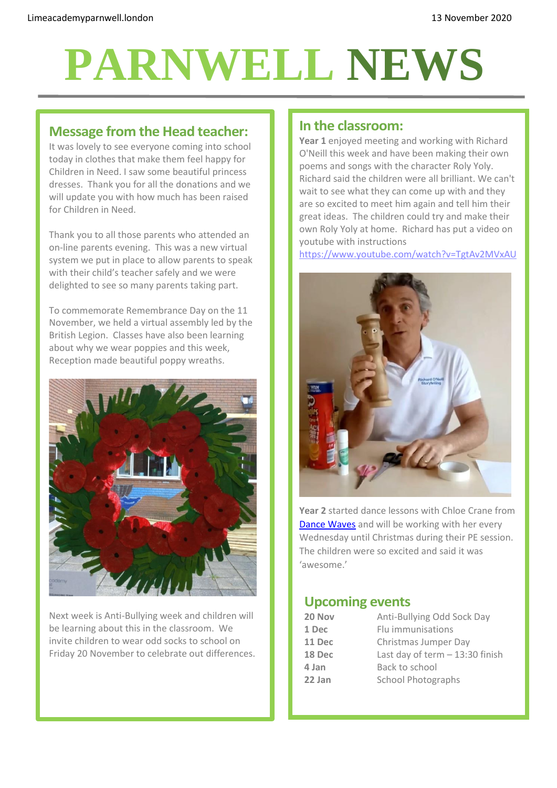# **PARNWELL NEWS**

### **Message from the Head teacher:**

It was lovely to see everyone coming into school today in clothes that make them feel happy for Children in Need. I saw some beautiful princess dresses. Thank you for all the donations and we will update you with how much has been raised for Children in Need.

Thank you to all those parents who attended an on-line parents evening. This was a new virtual system we put in place to allow parents to speak with their child's teacher safely and we were delighted to see so many parents taking part.

To commemorate Remembrance Day on the 11 November, we held a virtual assembly led by the British Legion. Classes have also been learning about why we wear poppies and this week, Reception made beautiful poppy wreaths.



Next week is Anti-Bullying week and children will be learning about this in the classroom. We invite children to wear odd socks to school on Friday 20 November to celebrate out differences.

#### **In the classroom:**

**Year 1** enjoyed meeting and working with Richard O'Neill this week and have been making their own poems and songs with the character Roly Yoly. Richard said the children were all brilliant. We can't wait to see what they can come up with and they are so excited to meet him again and tell him their great ideas. The children could try and make their own Roly Yoly at home. Richard has put a video on youtube with instructions

<https://www.youtube.com/watch?v=TgtAv2MVxAU>



**Year 2** started dance lessons with Chloe Crane from [Dance Waves](https://www.dancewavesacademy.com/) and will be working with her every Wednesday until Christmas during their PE session. The children were so excited and said it was 'awesome.'

#### **Upcoming events**

| 20 Nov | Anti-Bullying Odd Sock Day       |
|--------|----------------------------------|
| 1 Dec  | Flu immunisations                |
| 11 Dec | Christmas Jumper Day             |
| 18 Dec | Last day of term $-13:30$ finish |
| 4 Jan  | Back to school                   |
| 22 Jan | <b>School Photographs</b>        |